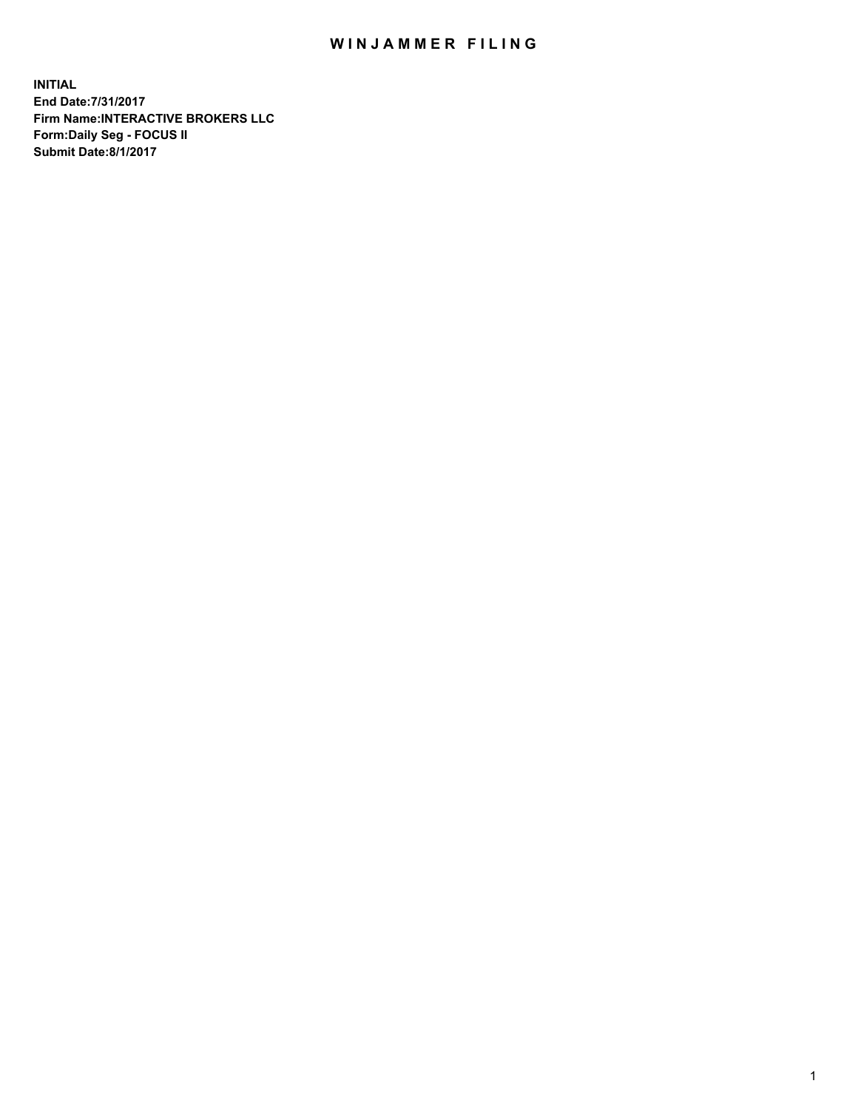## WIN JAMMER FILING

**INITIAL End Date:7/31/2017 Firm Name:INTERACTIVE BROKERS LLC Form:Daily Seg - FOCUS II Submit Date:8/1/2017**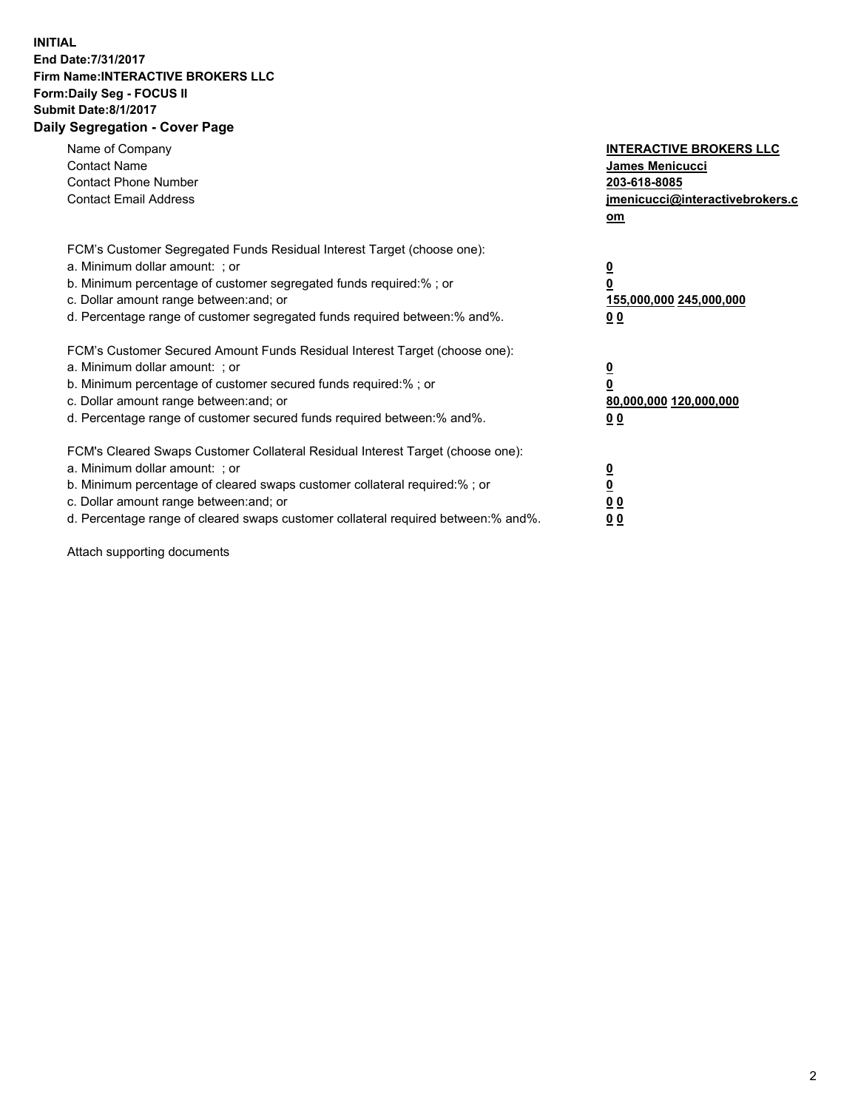## **INITIAL End Date:7/31/2017 Firm Name:INTERACTIVE BROKERS LLC Form:Daily Seg - FOCUS II Submit Date:8/1/2017 Daily Segregation - Cover Page**

| Name of Company<br><b>Contact Name</b><br><b>Contact Phone Number</b><br><b>Contact Email Address</b>                                                                                                                                                                                                                          | <b>INTERACTIVE BROKERS LLC</b><br><b>James Menicucci</b><br>203-618-8085<br>jmenicucci@interactivebrokers.c<br>om |
|--------------------------------------------------------------------------------------------------------------------------------------------------------------------------------------------------------------------------------------------------------------------------------------------------------------------------------|-------------------------------------------------------------------------------------------------------------------|
| FCM's Customer Segregated Funds Residual Interest Target (choose one):<br>a. Minimum dollar amount: ; or<br>b. Minimum percentage of customer segregated funds required:%; or<br>c. Dollar amount range between: and; or<br>d. Percentage range of customer segregated funds required between:% and%.                          | $\overline{\mathbf{0}}$<br>0<br>155,000,000 245,000,000<br>0 <sub>0</sub>                                         |
| FCM's Customer Secured Amount Funds Residual Interest Target (choose one):<br>a. Minimum dollar amount: ; or<br>b. Minimum percentage of customer secured funds required:%; or<br>c. Dollar amount range between: and; or<br>d. Percentage range of customer secured funds required between: % and %.                          | $\overline{\mathbf{0}}$<br>0<br>80,000,000 120,000,000<br>0 <sub>0</sub>                                          |
| FCM's Cleared Swaps Customer Collateral Residual Interest Target (choose one):<br>a. Minimum dollar amount: ; or<br>b. Minimum percentage of cleared swaps customer collateral required:% ; or<br>c. Dollar amount range between: and; or<br>d. Percentage range of cleared swaps customer collateral required between:% and%. | $\overline{\mathbf{0}}$<br>$\overline{\mathbf{0}}$<br>0 <sub>0</sub><br><u>00</u>                                 |

Attach supporting documents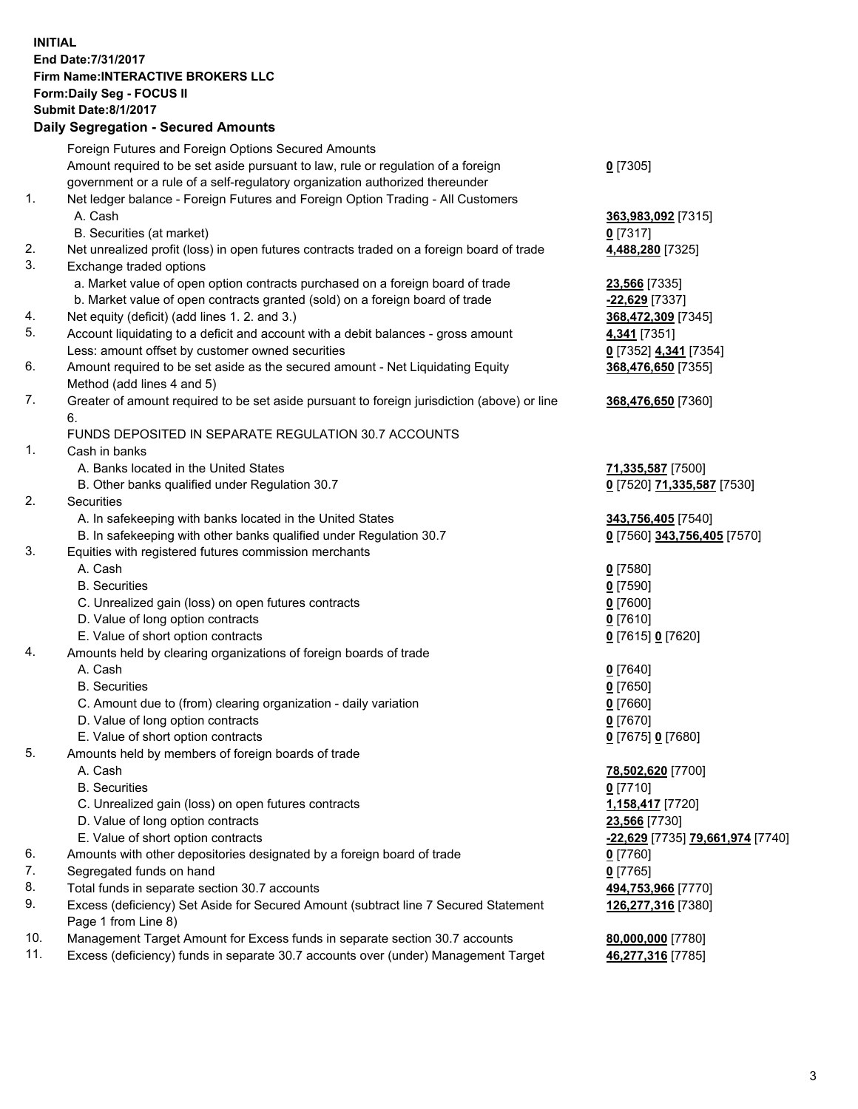## **INITIAL End Date:7/31/2017 Firm Name:INTERACTIVE BROKERS LLC Form:Daily Seg - FOCUS II Submit Date:8/1/2017 Daily Segregation - Secured Amounts**

|     | Foreign Futures and Foreign Options Secured Amounts                                                        |                                  |
|-----|------------------------------------------------------------------------------------------------------------|----------------------------------|
|     | Amount required to be set aside pursuant to law, rule or regulation of a foreign                           | $0$ [7305]                       |
|     | government or a rule of a self-regulatory organization authorized thereunder                               |                                  |
| 1.  | Net ledger balance - Foreign Futures and Foreign Option Trading - All Customers                            |                                  |
|     | A. Cash                                                                                                    | 363,983,092 [7315]               |
|     | B. Securities (at market)                                                                                  | $0$ [7317]                       |
| 2.  | Net unrealized profit (loss) in open futures contracts traded on a foreign board of trade                  | 4,488,280 [7325]                 |
| 3.  | Exchange traded options                                                                                    |                                  |
|     | a. Market value of open option contracts purchased on a foreign board of trade                             | 23,566 [7335]                    |
|     | b. Market value of open contracts granted (sold) on a foreign board of trade                               | -22,629 [7337]                   |
| 4.  | Net equity (deficit) (add lines 1.2. and 3.)                                                               | 368,472,309 [7345]               |
| 5.  | Account liquidating to a deficit and account with a debit balances - gross amount                          | 4,341 [7351]                     |
|     | Less: amount offset by customer owned securities                                                           | 0 [7352] 4,341 [7354]            |
| 6.  | Amount required to be set aside as the secured amount - Net Liquidating Equity                             | 368,476,650 [7355]               |
|     | Method (add lines 4 and 5)                                                                                 |                                  |
| 7.  | Greater of amount required to be set aside pursuant to foreign jurisdiction (above) or line                | 368,476,650 [7360]               |
|     | 6.                                                                                                         |                                  |
|     | FUNDS DEPOSITED IN SEPARATE REGULATION 30.7 ACCOUNTS                                                       |                                  |
| 1.  | Cash in banks                                                                                              |                                  |
|     | A. Banks located in the United States                                                                      | 71,335,587 [7500]                |
|     | B. Other banks qualified under Regulation 30.7                                                             | 0 [7520] 71,335,587 [7530]       |
| 2.  | Securities                                                                                                 |                                  |
|     | A. In safekeeping with banks located in the United States                                                  | 343,756,405 [7540]               |
|     | B. In safekeeping with other banks qualified under Regulation 30.7                                         | 0 [7560] 343,756,405 [7570]      |
| 3.  | Equities with registered futures commission merchants                                                      |                                  |
|     | A. Cash                                                                                                    | $0$ [7580]                       |
|     | <b>B.</b> Securities                                                                                       | $0$ [7590]                       |
|     | C. Unrealized gain (loss) on open futures contracts                                                        | $0$ [7600]                       |
|     | D. Value of long option contracts                                                                          | $0$ [7610]                       |
|     | E. Value of short option contracts                                                                         | 0 [7615] 0 [7620]                |
| 4.  | Amounts held by clearing organizations of foreign boards of trade                                          |                                  |
|     | A. Cash                                                                                                    | $0$ [7640]                       |
|     | <b>B.</b> Securities                                                                                       | $0$ [7650]                       |
|     | C. Amount due to (from) clearing organization - daily variation                                            | $0$ [7660]                       |
|     | D. Value of long option contracts                                                                          | $0$ [7670]                       |
|     | E. Value of short option contracts                                                                         | 0 [7675] 0 [7680]                |
| 5.  | Amounts held by members of foreign boards of trade                                                         |                                  |
|     | A. Cash                                                                                                    | 78,502,620 [7700]                |
|     | <b>B.</b> Securities                                                                                       | $0$ [7710]                       |
|     | C. Unrealized gain (loss) on open futures contracts                                                        | 1,158,417 [7720]                 |
|     | D. Value of long option contracts                                                                          | 23,566 [7730]                    |
|     | E. Value of short option contracts                                                                         | -22,629 [7735] 79,661,974 [7740] |
| 6.  | Amounts with other depositories designated by a foreign board of trade                                     | $0$ [7760]                       |
| 7.  | Segregated funds on hand                                                                                   | $0$ [7765]                       |
| 8.  | Total funds in separate section 30.7 accounts                                                              | 494,753,966 [7770]               |
| 9.  | Excess (deficiency) Set Aside for Secured Amount (subtract line 7 Secured Statement<br>Page 1 from Line 8) | 126,277,316 [7380]               |
| 10. | Management Target Amount for Excess funds in separate section 30.7 accounts                                | 80,000,000 [7780]                |
| 11. | Excess (deficiency) funds in separate 30.7 accounts over (under) Management Target                         | 46,277,316 [7785]                |
|     |                                                                                                            |                                  |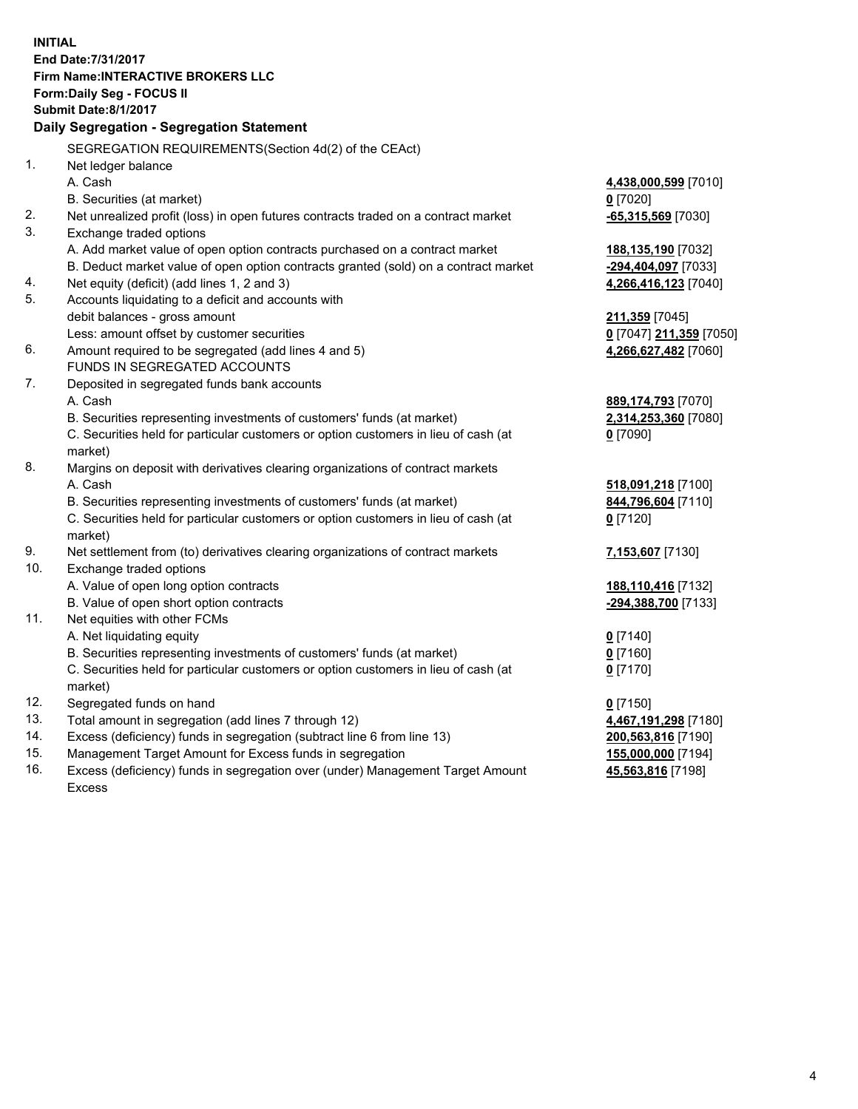**INITIAL End Date:7/31/2017 Firm Name:INTERACTIVE BROKERS LLC Form:Daily Seg - FOCUS II Submit Date:8/1/2017 Daily Segregation - Segregation Statement** SEGREGATION REQUIREMENTS(Section 4d(2) of the CEAct) 1. Net ledger balance A. Cash **4,438,000,599** [7010] B. Securities (at market) **0** [7020] 2. Net unrealized profit (loss) in open futures contracts traded on a contract market **-65,315,569** [7030] 3. Exchange traded options A. Add market value of open option contracts purchased on a contract market **188,135,190** [7032] B. Deduct market value of open option contracts granted (sold) on a contract market **-294,404,097** [7033] 4. Net equity (deficit) (add lines 1, 2 and 3) **4,266,416,123** [7040] 5. Accounts liquidating to a deficit and accounts with debit balances - gross amount **211,359** [7045] Less: amount offset by customer securities **0** [7047] **211,359** [7050] 6. Amount required to be segregated (add lines 4 and 5) **4,266,627,482** [7060] FUNDS IN SEGREGATED ACCOUNTS 7. Deposited in segregated funds bank accounts A. Cash **889,174,793** [7070] B. Securities representing investments of customers' funds (at market) **2,314,253,360** [7080] C. Securities held for particular customers or option customers in lieu of cash (at market) **0** [7090] 8. Margins on deposit with derivatives clearing organizations of contract markets A. Cash **518,091,218** [7100] B. Securities representing investments of customers' funds (at market) **844,796,604** [7110] C. Securities held for particular customers or option customers in lieu of cash (at market) **0** [7120] 9. Net settlement from (to) derivatives clearing organizations of contract markets **7,153,607** [7130] 10. Exchange traded options A. Value of open long option contracts **188,110,416** [7132] B. Value of open short option contracts **-294,388,700** [7133] 11. Net equities with other FCMs A. Net liquidating equity **0** [7140] B. Securities representing investments of customers' funds (at market) **0** [7160] C. Securities held for particular customers or option customers in lieu of cash (at market) **0** [7170] 12. Segregated funds on hand **0** [7150] 13. Total amount in segregation (add lines 7 through 12) **4,467,191,298** [7180] 14. Excess (deficiency) funds in segregation (subtract line 6 from line 13) **200,563,816** [7190] 15. Management Target Amount for Excess funds in segregation **155,000,000** [7194] **45,563,816** [7198]

16. Excess (deficiency) funds in segregation over (under) Management Target Amount Excess